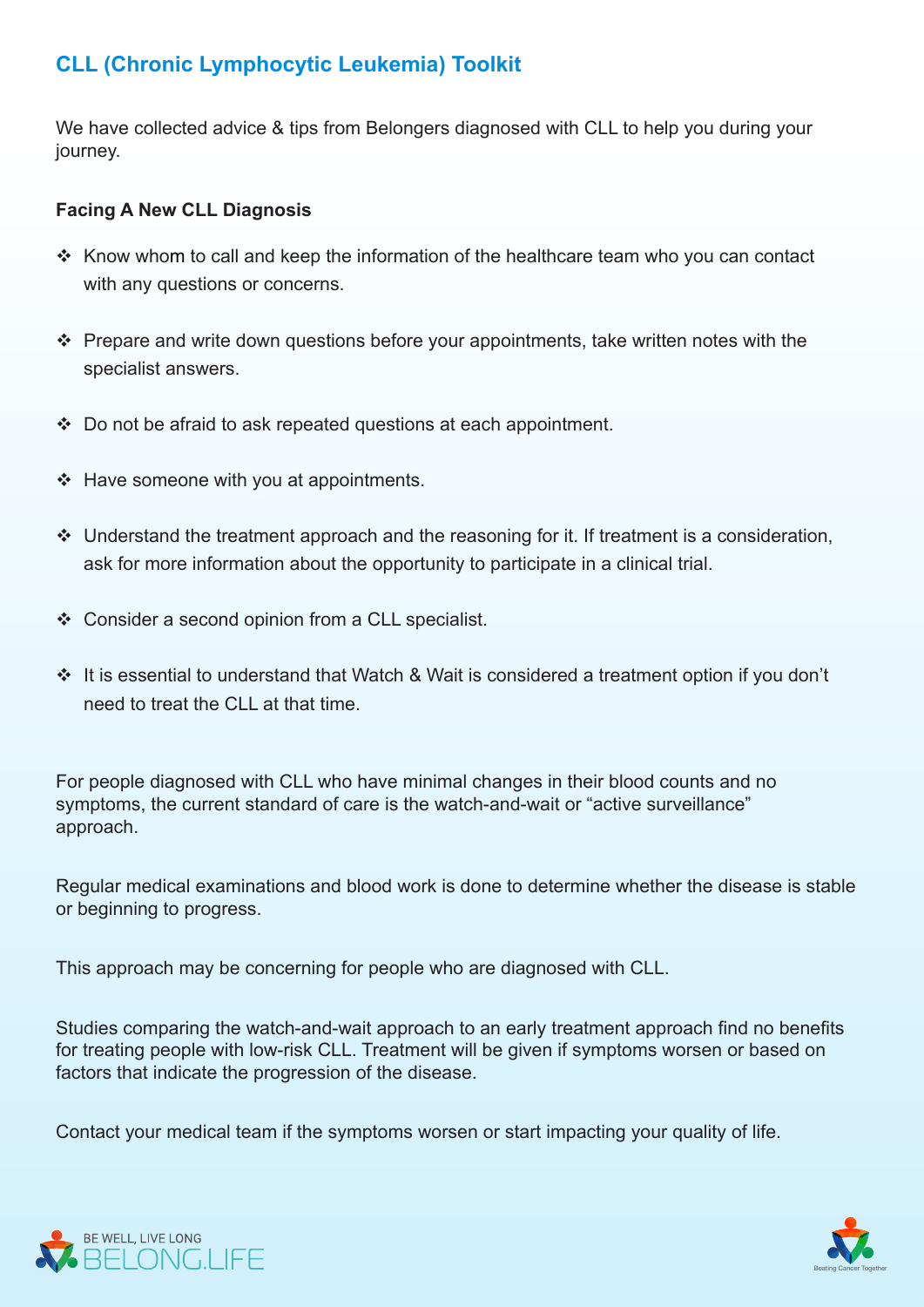## **CLL (Chronic Lymphocytic Leukemia) Toolkit**

We have collected advice & tips from Belongers diagnosed with CLL to help you during your journey.

## **Facing A New CLL Diagnosis**

- $\cdot$  Know whom to call and keep the information of the healthcare team who you can contact with any questions or concerns.
- $\cdot$  Prepare and write down questions before your appointments, take written notes with the specialist answers.
- $\cdot$  Do not be afraid to ask repeated questions at each appointment.
- $\div$  Have someone with you at appointments.
- $\cdot$  Understand the treatment approach and the reasoning for it. If treatment is a consideration, ask for more information about the opportunity to participate in a clinical trial.
- $\div$  Consider a second opinion from a CLL specialist.
- $\cdot$  It is essential to understand that Watch & Wait is considered a treatment option if you don't need to treat the CLL at that time.

For people diagnosed with CLL who have minimal changes in their blood counts and no symptoms, the current standard of care is the watch-and-wait or "active surveillance" .approach

Regular medical examinations and blood work is done to determine whether the disease is stable or beginning to progress.

This approach may be concerning for people who are diagnosed with CLL.

Studies comparing the watch-and-wait approach to an early treatment approach find no benefits for treating people with low-risk CLL. Treatment will be given if symptoms worsen or based on factors that indicate the progression of the disease.

Contact your medical team if the symptoms worsen or start impacting your quality of life.